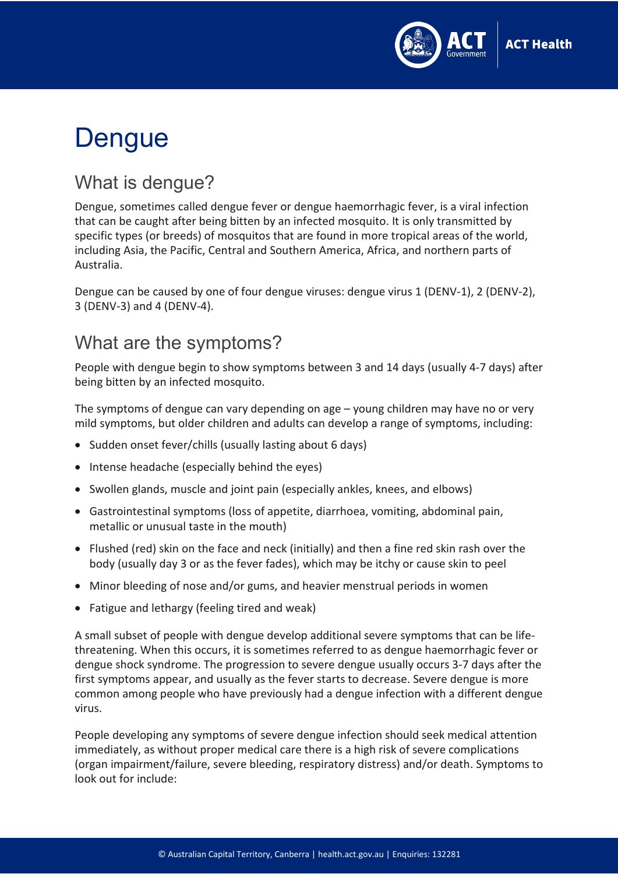

# **Dengue**

#### What is dengue?

Dengue, sometimes called dengue fever or dengue haemorrhagic fever, is a viral infection that can be caught after being bitten by an infected mosquito. It is only transmitted by specific types (or breeds) of mosquitos that are found in more tropical areas of the world, including Asia, the Pacific, Central and Southern America, Africa, and northern parts of Australia.

Dengue can be caused by one of four dengue viruses: dengue virus 1 (DENV-1), 2 (DENV-2), 3 (DENV-3) and 4 (DENV-4).

#### What are the symptoms?

People with dengue begin to show symptoms between 3 and 14 days (usually 4-7 days) after being bitten by an infected mosquito.

The symptoms of dengue can vary depending on age – young children may have no or very mild symptoms, but older children and adults can develop a range of symptoms, including:

- Sudden onset fever/chills (usually lasting about 6 days)
- Intense headache (especially behind the eyes)
- Swollen glands, muscle and joint pain (especially ankles, knees, and elbows)
- Gastrointestinal symptoms (loss of appetite, diarrhoea, vomiting, abdominal pain, metallic or unusual taste in the mouth)
- Flushed (red) skin on the face and neck (initially) and then a fine red skin rash over the body (usually day 3 or as the fever fades), which may be itchy or cause skin to peel
- Minor bleeding of nose and/or gums, and heavier menstrual periods in women
- Fatigue and lethargy (feeling tired and weak)

A small subset of people with dengue develop additional severe symptoms that can be lifethreatening. When this occurs, it is sometimes referred to as dengue haemorrhagic fever or dengue shock syndrome. The progression to severe dengue usually occurs 3-7 days after the first symptoms appear, and usually as the fever starts to decrease. Severe dengue is more common among people who have previously had a dengue infection with a different dengue virus.

People developing any symptoms of severe dengue infection should seek medical attention immediately, as without proper medical care there is a high risk of severe complications (organ impairment/failure, severe bleeding, respiratory distress) and/or death. Symptoms to look out for include: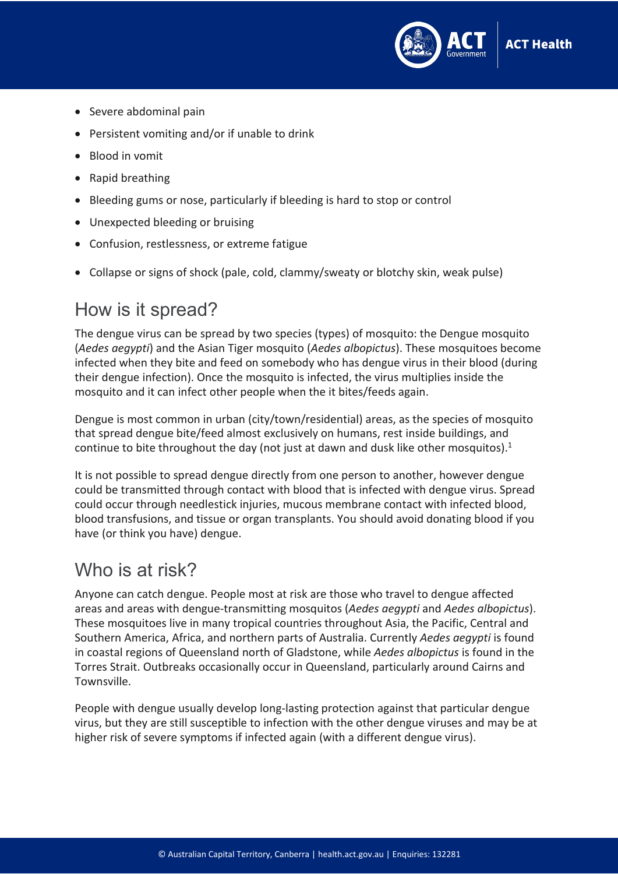

- Severe abdominal pain
- Persistent vomiting and/or if unable to drink
- Blood in vomit
- Rapid breathing
- Bleeding gums or nose, particularly if bleeding is hard to stop or control
- Unexpected bleeding or bruising
- Confusion, restlessness, or extreme fatigue
- Collapse or signs of shock (pale, cold, clammy/sweaty or blotchy skin, weak pulse)

#### How is it spread?

The dengue virus can be spread by two species (types) of mosquito: the Dengue mosquito (*Aedes aegypti*) and the Asian Tiger mosquito (*Aedes albopictus*). These mosquitoes become infected when they bite and feed on somebody who has dengue virus in their blood (during their dengue infection). Once the mosquito is infected, the virus multiplies inside the mosquito and it can infect other people when the it bites/feeds again.

Dengue is most common in urban (city/town/residential) areas, as the species of mosquito that spread dengue bite/feed almost exclusively on humans, rest inside buildings, and continue to bite throughout the day (not just at dawn and dusk like other mosquitos).<sup>1</sup>

It is not possible to spread dengue directly from one person to another, however dengue could be transmitted through contact with blood that is infected with dengue virus. Spread could occur through needlestick injuries, mucous membrane contact with infected blood, blood transfusions, and tissue or organ transplants. You should avoid donating blood if you have (or think you have) dengue.

#### Who is at risk?

Anyone can catch dengue. People most at risk are those who travel to dengue affected areas and areas with dengue-transmitting mosquitos (*Aedes aegypti* and *Aedes albopictus*). These mosquitoes live in many tropical countries throughout Asia, the Pacific, Central and Southern America, Africa, and northern parts of Australia. Currently *Aedes aegypti* is found in coastal regions of Queensland north of Gladstone, while *Aedes albopictus* is found in the Torres Strait. Outbreaks occasionally occur in Queensland, particularly around Cairns and Townsville.

People with dengue usually develop long-lasting protection against that particular dengue virus, but they are still susceptible to infection with the other dengue viruses and may be at higher risk of severe symptoms if infected again (with a different dengue virus).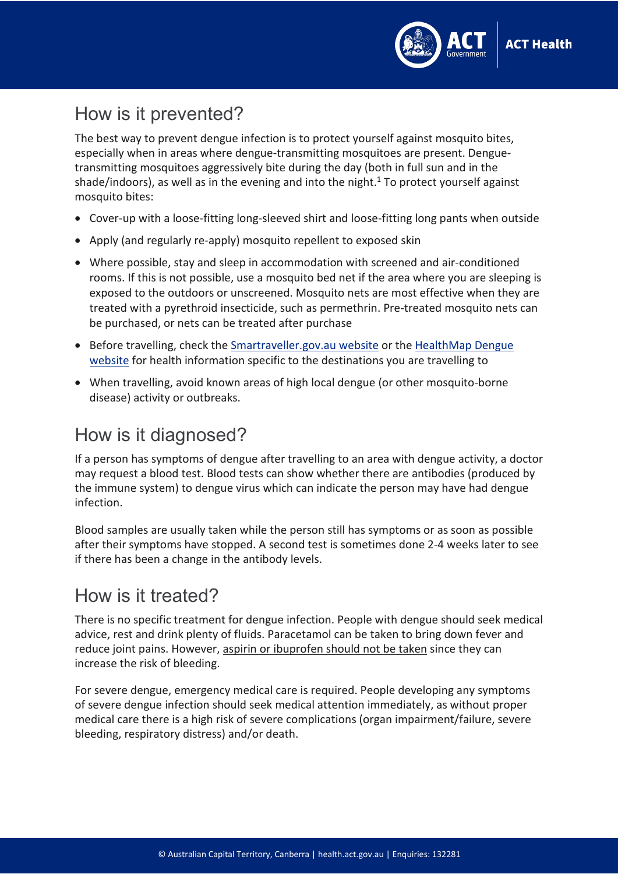

## How is it prevented?

The best way to prevent dengue infection is to protect yourself against mosquito bites, especially when in areas where dengue-transmitting mosquitoes are present. Denguetransmitting mosquitoes aggressively bite during the day (both in full sun and in the shade/indoors), as well as in the evening and into the night. <sup>1</sup> To protect yourself against mosquito bites:

- Cover-up with a loose-fitting long-sleeved shirt and loose-fitting long pants when outside
- Apply (and regularly re-apply) mosquito repellent to exposed skin
- Where possible, stay and sleep in accommodation with screened and air-conditioned rooms. If this is not possible, use a mosquito bed net if the area where you are sleeping is exposed to the outdoors or unscreened. Mosquito nets are most effective when they are treated with a pyrethroid insecticide, such as permethrin. Pre-treated mosquito nets can be purchased, or nets can be treated after purchase
- Before travelling, check the [Smartraveller.gov.au website](https://smartraveller.gov.au/Pages/default.aspx) or the HealthMap Dengue [website](https://www.healthmap.org/dengue/en/) for health information specific to the destinations you are travelling to
- When travelling, avoid known areas of high local dengue (or other mosquito-borne disease) activity or outbreaks.

### How is it diagnosed?

If a person has symptoms of dengue after travelling to an area with dengue activity, a doctor may request a blood test. Blood tests can show whether there are antibodies (produced by the immune system) to dengue virus which can indicate the person may have had dengue infection.

Blood samples are usually taken while the person still has symptoms or as soon as possible after their symptoms have stopped. A second test is sometimes done 2-4 weeks later to see if there has been a change in the antibody levels.

### How is it treated?

There is no specific treatment for dengue infection. People with dengue should seek medical advice, rest and drink plenty of fluids. Paracetamol can be taken to bring down fever and reduce joint pains. However, aspirin or ibuprofen should not be taken since they can increase the risk of bleeding.

For severe dengue, emergency medical care is required. People developing any symptoms of severe dengue infection should seek medical attention immediately, as without proper medical care there is a high risk of severe complications (organ impairment/failure, severe bleeding, respiratory distress) and/or death.